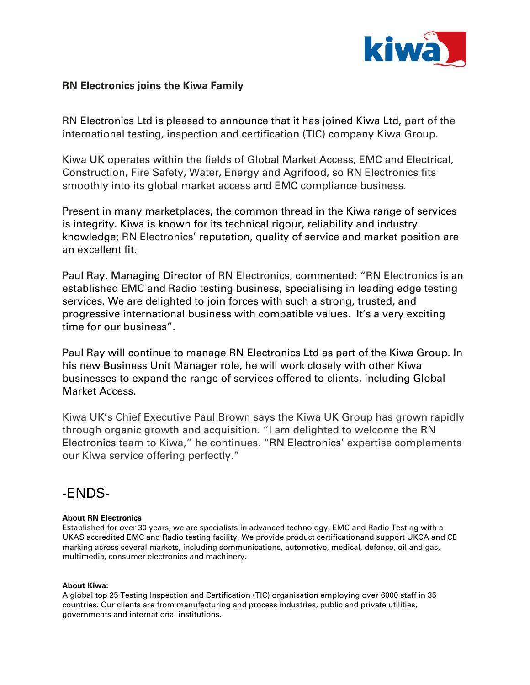

## **RN Electronics joins the Kiwa Family**

RN Electronics Ltd is pleased to announce that it has joined Kiwa Ltd, part of the international testing, inspection and certification (TIC) company Kiwa Group.

Kiwa UK operates within the fields of Global Market Access, EMC and Electrical, Construction, Fire Safety, Water, Energy and Agrifood, so RN Electronics fits smoothly into its global market access and EMC compliance business.

Present in many marketplaces, the common thread in the Kiwa range of services is integrity. Kiwa is known for its technical rigour, reliability and industry knowledge; RN Electronics' reputation, quality of service and market position are an excellent fit.

Paul Ray, Managing Director of RN Electronics, commented: "RN Electronics is an established EMC and Radio testing business, specialising in leading edge testing services. We are delighted to join forces with such a strong, trusted, and progressive international business with compatible values. It's a very exciting time for our business".

Paul Ray will continue to manage RN Electronics Ltd as part of the Kiwa Group. In his new Business Unit Manager role, he will work closely with other Kiwa businesses to expand the range of services offered to clients, including Global Market Access.

Kiwa UK's Chief Executive Paul Brown says the Kiwa UK Group has grown rapidly through organic growth and acquisition. "I am delighted to welcome the RN Electronics team to Kiwa," he continues. "RN Electronics' expertise complements our Kiwa service offering perfectly."

## -ENDS-

## **About RN Electronics**

Established for over 30 years, we are specialists in advanced technology, EMC and Radio Testing with a UKAS accredited EMC and Radio testing facility. We provide product certificationand support UKCA and CE marking across several markets, including communications, automotive, medical, defence, oil and gas, multimedia, consumer electronics and machinery.

## **About Kiwa:**

A global top 25 Testing Inspection and Certification (TIC) organisation employing over 6000 staff in 35 countries. Our clients are from manufacturing and process industries, public and private utilities, governments and international institutions.